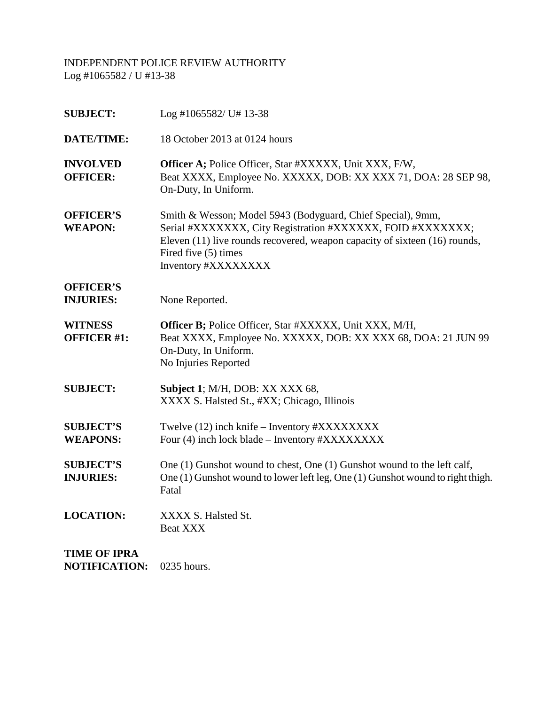| <b>SUBJECT:</b>                      | Log #1065582/ U# 13-38                                                                                                                                                                                                                                 |
|--------------------------------------|--------------------------------------------------------------------------------------------------------------------------------------------------------------------------------------------------------------------------------------------------------|
| <b>DATE/TIME:</b>                    | 18 October 2013 at 0124 hours                                                                                                                                                                                                                          |
| <b>INVOLVED</b><br><b>OFFICER:</b>   | Officer A; Police Officer, Star #XXXXX, Unit XXX, F/W,<br>Beat XXXX, Employee No. XXXXX, DOB: XX XXX 71, DOA: 28 SEP 98,<br>On-Duty, In Uniform.                                                                                                       |
| <b>OFFICER'S</b><br><b>WEAPON:</b>   | Smith & Wesson; Model 5943 (Bodyguard, Chief Special), 9mm,<br>Serial #XXXXXXX, City Registration #XXXXXX, FOID #XXXXXXX;<br>Eleven (11) live rounds recovered, weapon capacity of sixteen (16) rounds,<br>Fired five (5) times<br>Inventory #XXXXXXXX |
| <b>OFFICER'S</b><br><b>INJURIES:</b> | None Reported.                                                                                                                                                                                                                                         |
| <b>WITNESS</b><br><b>OFFICER #1:</b> | Officer B; Police Officer, Star #XXXXX, Unit XXX, M/H,<br>Beat XXXX, Employee No. XXXXX, DOB: XX XXX 68, DOA: 21 JUN 99<br>On-Duty, In Uniform.<br>No Injuries Reported                                                                                |
| <b>SUBJECT:</b>                      | Subject 1; M/H, DOB: XX XXX 68,<br>XXXX S. Halsted St., #XX; Chicago, Illinois                                                                                                                                                                         |
| <b>SUBJECT'S</b><br><b>WEAPONS:</b>  | Twelve (12) inch knife – Inventory #XXXXXXXX<br>Four (4) inch lock blade – Inventory #XXXXXXXX                                                                                                                                                         |
| <b>SUBJECT'S</b><br><b>INJURIES:</b> | One (1) Gunshot wound to chest, One (1) Gunshot wound to the left calf,<br>One (1) Gunshot wound to lower left leg, One (1) Gunshot wound to right thigh.<br>Fatal                                                                                     |
| <b>LOCATION:</b>                     | XXXX S. Halsted St.<br>Beat XXX                                                                                                                                                                                                                        |
| <b>TIME OF IPRA</b>                  |                                                                                                                                                                                                                                                        |

**NOTIFICATION:** 0235 hours.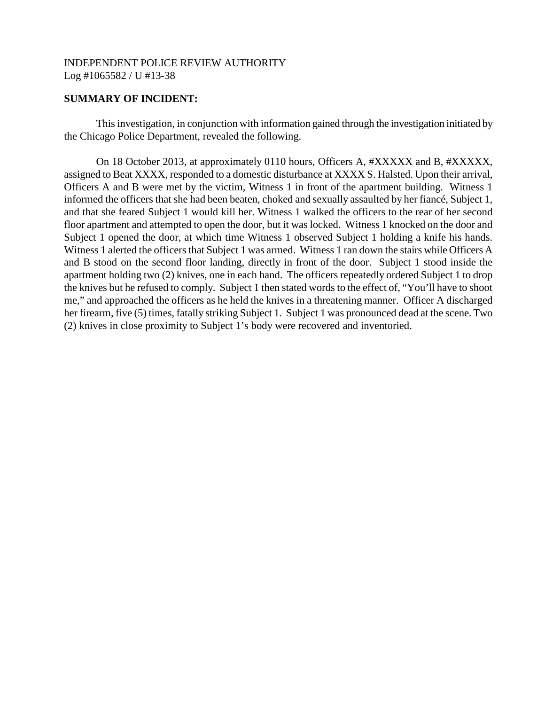### **SUMMARY OF INCIDENT:**

This investigation, in conjunction with information gained through the investigation initiated by the Chicago Police Department, revealed the following.

On 18 October 2013, at approximately 0110 hours, Officers A, #XXXXX and B, #XXXXX, assigned to Beat XXXX, responded to a domestic disturbance at XXXX S. Halsted. Upon their arrival, Officers A and B were met by the victim, Witness 1 in front of the apartment building. Witness 1 informed the officers that she had been beaten, choked and sexually assaulted by her fiancé, Subject 1, and that she feared Subject 1 would kill her. Witness 1 walked the officers to the rear of her second floor apartment and attempted to open the door, but it was locked. Witness 1 knocked on the door and Subject 1 opened the door, at which time Witness 1 observed Subject 1 holding a knife his hands. Witness 1 alerted the officers that Subject 1 was armed. Witness 1 ran down the stairs while Officers A and B stood on the second floor landing, directly in front of the door. Subject 1 stood inside the apartment holding two (2) knives, one in each hand. The officers repeatedly ordered Subject 1 to drop the knives but he refused to comply. Subject 1 then stated words to the effect of, "You'll have to shoot me," and approached the officers as he held the knives in a threatening manner. Officer A discharged her firearm, five (5) times, fatally striking Subject 1. Subject 1 was pronounced dead at the scene. Two (2) knives in close proximity to Subject 1's body were recovered and inventoried.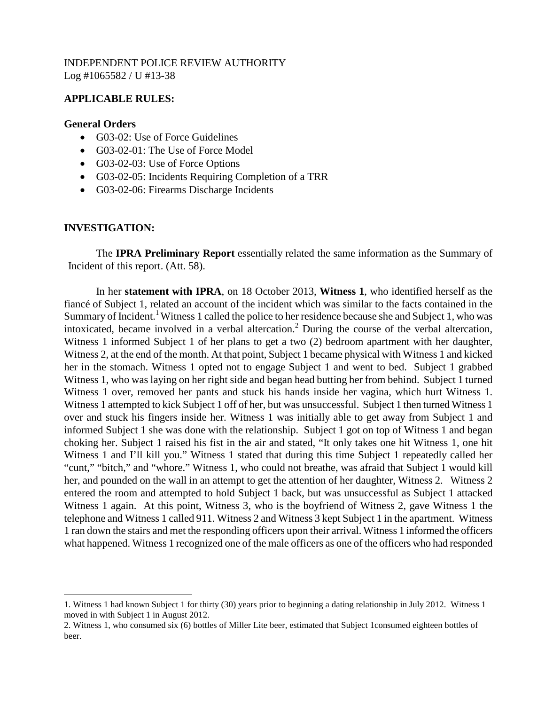# **APPLICABLE RULES:**

### **General Orders**

- G03-02: Use of Force Guidelines
- G03-02-01: The Use of Force Model
- G03-02-03: Use of Force Options
- G03-02-05: Incidents Requiring Completion of a TRR
- G03-02-06: Firearms Discharge Incidents

# **INVESTIGATION:**

The **IPRA Preliminary Report** essentially related the same information as the Summary of Incident of this report. (Att. 58).

In her **statement with IPRA**, on 18 October 2013, **Witness 1**, who identified herself as the fiancé of Subject 1, related an account of the incident which was similar to the facts contained in the Summary of Incident.<sup>[1](#page-2-0)</sup> Witness 1 called the police to her residence because she and Subject 1, who was intoxicated, became involved in a verbal altercation.<sup>[2](#page-2-1)</sup> During the course of the verbal altercation, Witness 1 informed Subject 1 of her plans to get a two (2) bedroom apartment with her daughter, Witness 2, at the end of the month. At that point, Subject 1 became physical with Witness 1 and kicked her in the stomach. Witness 1 opted not to engage Subject 1 and went to bed. Subject 1 grabbed Witness 1, who was laying on her right side and began head butting her from behind. Subject 1 turned Witness 1 over, removed her pants and stuck his hands inside her vagina, which hurt Witness 1. Witness 1 attempted to kick Subject 1 off of her, but was unsuccessful. Subject 1 then turned Witness 1 over and stuck his fingers inside her. Witness 1 was initially able to get away from Subject 1 and informed Subject 1 she was done with the relationship. Subject 1 got on top of Witness 1 and began choking her. Subject 1 raised his fist in the air and stated, "It only takes one hit Witness 1, one hit Witness 1 and I'll kill you." Witness 1 stated that during this time Subject 1 repeatedly called her "cunt," "bitch," and "whore." Witness 1, who could not breathe, was afraid that Subject 1 would kill her, and pounded on the wall in an attempt to get the attention of her daughter, Witness 2. Witness 2 entered the room and attempted to hold Subject 1 back, but was unsuccessful as Subject 1 attacked Witness 1 again. At this point, Witness 3, who is the boyfriend of Witness 2, gave Witness 1 the telephone and Witness 1 called 911. Witness 2 and Witness 3 kept Subject 1 in the apartment. Witness 1 ran down the stairs and met the responding officers upon their arrival. Witness 1 informed the officers what happened. Witness 1 recognized one of the male officers as one of the officers who had responded

<span id="page-2-0"></span><sup>1.</sup> Witness 1 had known Subject 1 for thirty (30) years prior to beginning a dating relationship in July 2012. Witness 1 moved in with Subject 1 in August 2012.

<span id="page-2-1"></span><sup>2.</sup> Witness 1, who consumed six (6) bottles of Miller Lite beer, estimated that Subject 1consumed eighteen bottles of beer.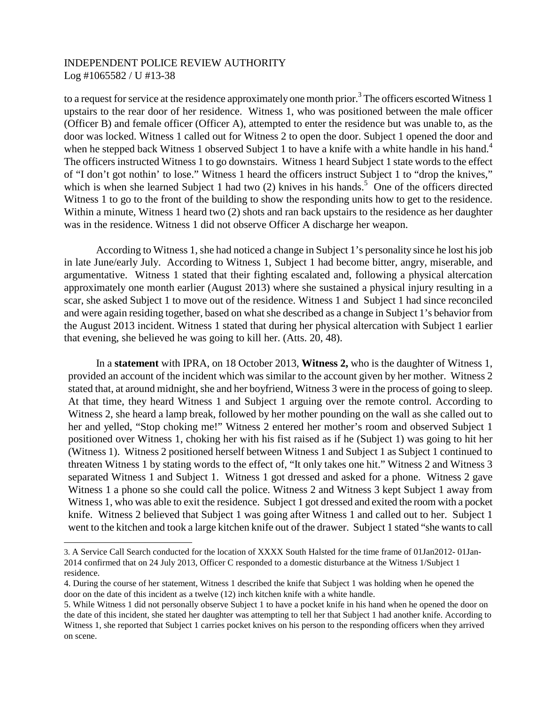toa request for service at the residence approximately one month prior.<sup>3</sup> The officers escorted Witness 1 upstairs to the rear door of her residence. Witness 1, who was positioned between the male officer (Officer B) and female officer (Officer A), attempted to enter the residence but was unable to, as the door was locked. Witness 1 called out for Witness 2 to open the door. Subject 1 opened the door and whenhe stepped back Witness 1 observed Subject 1 to have a knife with a white handle in his hand.<sup>4</sup> The officers instructed Witness 1 to go downstairs. Witness 1 heard Subject 1 state words to the effect of "I don't got nothin' to lose." Witness 1 heard the officers instruct Subject 1 to "drop the knives," which is when she learned Subject 1 had two  $(2)$  knives in his hands.<sup>[5](#page-3-2)</sup> One of the officers directed Witness 1 to go to the front of the building to show the responding units how to get to the residence. Within a minute, Witness 1 heard two (2) shots and ran back upstairs to the residence as her daughter was in the residence. Witness 1 did not observe Officer A discharge her weapon.

According to Witness 1, she had noticed a change in Subject 1's personality since he lost his job in late June/early July. According to Witness 1, Subject 1 had become bitter, angry, miserable, and argumentative. Witness 1 stated that their fighting escalated and, following a physical altercation approximately one month earlier (August 2013) where she sustained a physical injury resulting in a scar, she asked Subject 1 to move out of the residence. Witness 1 and Subject 1 had since reconciled and were again residing together, based on what she described as a change in Subject 1's behavior from the August 2013 incident. Witness 1 stated that during her physical altercation with Subject 1 earlier that evening, she believed he was going to kill her. (Atts. 20, 48).

In a **statement** with IPRA, on 18 October 2013, **Witness 2,** who is the daughter of Witness 1, provided an account of the incident which was similar to the account given by her mother. Witness 2 stated that, at around midnight, she and her boyfriend, Witness 3 were in the process of going to sleep. At that time, they heard Witness 1 and Subject 1 arguing over the remote control. According to Witness 2, she heard a lamp break, followed by her mother pounding on the wall as she called out to her and yelled, "Stop choking me!" Witness 2 entered her mother's room and observed Subject 1 positioned over Witness 1, choking her with his fist raised as if he (Subject 1) was going to hit her (Witness 1). Witness 2 positioned herself between Witness 1 and Subject 1 as Subject 1 continued to threaten Witness 1 by stating words to the effect of, "It only takes one hit." Witness 2 and Witness 3 separated Witness 1 and Subject 1. Witness 1 got dressed and asked for a phone. Witness 2 gave Witness 1 a phone so she could call the police. Witness 2 and Witness 3 kept Subject 1 away from Witness 1, who was able to exit the residence. Subject 1 got dressed and exited the room with a pocket knife. Witness 2 believed that Subject 1 was going after Witness 1 and called out to her. Subject 1 went to the kitchen and took a large kitchen knife out of the drawer. Subject 1 stated "she wants to call

<span id="page-3-0"></span><sup>3.</sup> A Service Call Search conducted for the location of XXXX South Halsted for the time frame of 01Jan2012- 01Jan-2014 confirmed that on 24 July 2013, Officer C responded to a domestic disturbance at the Witness 1/Subject 1 residence.

<span id="page-3-1"></span><sup>4.</sup> During the course of her statement, Witness 1 described the knife that Subject 1 was holding when he opened the door on the date of this incident as a twelve (12) inch kitchen knife with a white handle.

<span id="page-3-2"></span><sup>5.</sup> While Witness 1 did not personally observe Subject 1 to have a pocket knife in his hand when he opened the door on the date of this incident, she stated her daughter was attempting to tell her that Subject 1 had another knife. According to Witness 1, she reported that Subject 1 carries pocket knives on his person to the responding officers when they arrived on scene.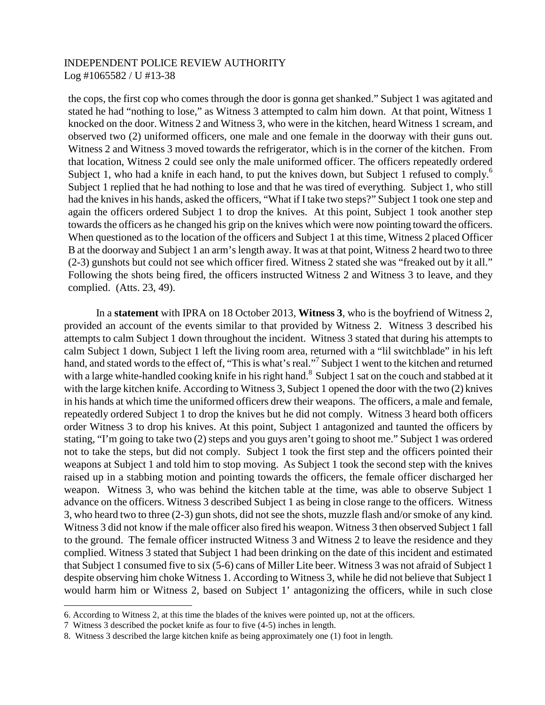the cops, the first cop who comes through the door is gonna get shanked." Subject 1 was agitated and stated he had "nothing to lose," as Witness 3 attempted to calm him down. At that point, Witness 1 knocked on the door. Witness 2 and Witness 3, who were in the kitchen, heard Witness 1 scream, and observed two (2) uniformed officers, one male and one female in the doorway with their guns out. Witness 2 and Witness 3 moved towards the refrigerator, which is in the corner of the kitchen. From that location, Witness 2 could see only the male uniformed officer. The officers repeatedly ordered Subject 1, who had a knife in each hand, to put the knives down, but Subject 1 refused to comply.<sup>[6](#page-4-0)</sup> Subject 1 replied that he had nothing to lose and that he was tired of everything. Subject 1, who still had the knives in his hands, asked the officers, "What if I take two steps?" Subject 1 took one step and again the officers ordered Subject 1 to drop the knives. At this point, Subject 1 took another step towards the officers as he changed his grip on the knives which were now pointing toward the officers. When questioned as to the location of the officers and Subject 1 at this time, Witness 2 placed Officer B at the doorway and Subject 1 an arm's length away. It was at that point, Witness 2 heard two to three (2-3) gunshots but could not see which officer fired. Witness 2 stated she was "freaked out by it all." Following the shots being fired, the officers instructed Witness 2 and Witness 3 to leave, and they complied. (Atts. 23, 49).

In a **statement** with IPRA on 18 October 2013, **Witness 3**, who is the boyfriend of Witness 2, provided an account of the events similar to that provided by Witness 2. Witness 3 described his attempts to calm Subject 1 down throughout the incident. Witness 3 stated that during his attempts to calm Subject 1 down, Subject 1 left the living room area, returned with a "lil switchblade" in his left hand,and stated words to the effect of, ["](#page-4-1)This is what's real."<sup>7</sup> Subject 1 went to the kitchen and returned with a large white-handled cooking knife in his right hand.<sup>[8](#page-4-2)</sup> Subject 1 sat on the couch and stabbed at it with the large kitchen knife. According to Witness 3, Subject 1 opened the door with the two (2) knives in his hands at which time the uniformed officers drew their weapons. The officers, a male and female, repeatedly ordered Subject 1 to drop the knives but he did not comply. Witness 3 heard both officers order Witness 3 to drop his knives. At this point, Subject 1 antagonized and taunted the officers by stating, "I'm going to take two (2) steps and you guys aren't going to shoot me." Subject 1 was ordered not to take the steps, but did not comply. Subject 1 took the first step and the officers pointed their weapons at Subject 1 and told him to stop moving. As Subject 1 took the second step with the knives raised up in a stabbing motion and pointing towards the officers, the female officer discharged her weapon. Witness 3, who was behind the kitchen table at the time, was able to observe Subject 1 advance on the officers. Witness 3 described Subject 1 as being in close range to the officers. Witness 3, who heard two to three (2-3) gun shots, did not see the shots, muzzle flash and/or smoke of any kind. Witness 3 did not know if the male officer also fired his weapon. Witness 3 then observed Subject 1 fall to the ground. The female officer instructed Witness 3 and Witness 2 to leave the residence and they complied. Witness 3 stated that Subject 1 had been drinking on the date of this incident and estimated that Subject 1 consumed five to six (5-6) cans of Miller Lite beer. Witness 3 was not afraid of Subject 1 despite observing him choke Witness 1. According to Witness 3, while he did not believe that Subject 1 would harm him or Witness 2, based on Subject 1' antagonizing the officers, while in such close

<span id="page-4-1"></span><span id="page-4-0"></span><sup>6.</sup> According to Witness 2, at this time the blades of the knives were pointed up, not at the officers.

<span id="page-4-2"></span><sup>7</sup> Witness 3 described the pocket knife as four to five (4-5) inches in length.

<sup>8.</sup> Witness 3 described the large kitchen knife as being approximately one (1) foot in length.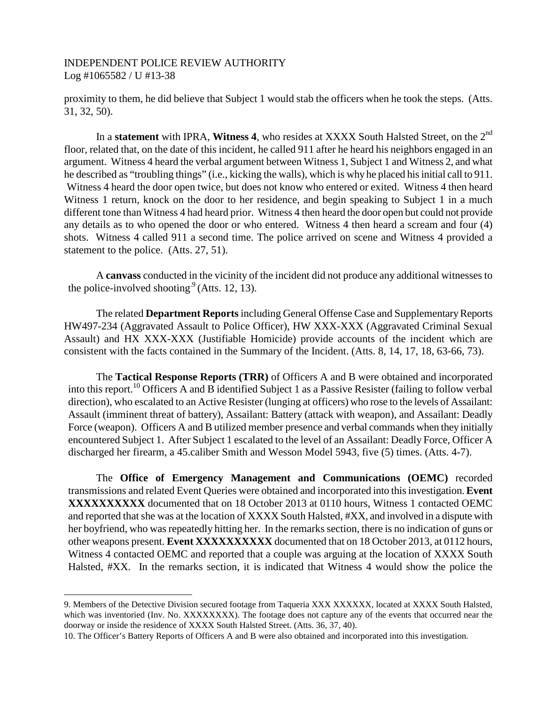proximity to them, he did believe that Subject 1 would stab the officers when he took the steps. (Atts. 31, 32, 50).

In a **statement** with IPRA, **Witness 4**, who resides at XXXX South Halsted Street, on the 2<sup>nd</sup> floor, related that, on the date of this incident, he called 911 after he heard his neighbors engaged in an argument. Witness 4 heard the verbal argument between Witness 1, Subject 1 and Witness 2, and what he described as "troubling things" (i.e., kicking the walls), which is why he placed his initial call to 911. Witness 4 heard the door open twice, but does not know who entered or exited. Witness 4 then heard Witness 1 return, knock on the door to her residence, and begin speaking to Subject 1 in a much different tone than Witness 4 had heard prior. Witness 4 then heard the door open but could not provide any details as to who opened the door or who entered. Witness 4 then heard a scream and four (4) shots. Witness 4 called 911 a second time. The police arrived on scene and Witness 4 provided a statement to the police. (Atts. 27, 51).

A **canvass** conducted in the vicinity of the incident did not produce any additional witnesses to the police-involved shooting.<sup>[9](#page-5-0)</sup> (Atts. 12, 13).

The related **Department Reports**including General Offense Case and Supplementary Reports HW497-234 (Aggravated Assault to Police Officer), HW XXX-XXX (Aggravated Criminal Sexual Assault) and HX XXX-XXX (Justifiable Homicide) provide accounts of the incident which are consistent with the facts contained in the Summary of the Incident. (Atts. 8, 14, 17, 18, 63-66, 73).

The **Tactical Response Reports (TRR)** of Officers A and B were obtained and incorporated into this report.[10](#page-5-1) Officers A and B identified Subject 1 as a Passive Resister (failing to follow verbal direction), who escalated to an Active Resister (lunging at officers) who rose to the levels of Assailant: Assault (imminent threat of battery), Assailant: Battery (attack with weapon), and Assailant: Deadly Force (weapon). Officers A and B utilized member presence and verbal commands when they initially encountered Subject 1. After Subject 1 escalated to the level of an Assailant: Deadly Force, Officer A discharged her firearm, a 45.caliber Smith and Wesson Model 5943, five (5) times. (Atts. 4-7).

The **Office of Emergency Management and Communications (OEMC)** recorded transmissions and related Event Queries were obtained and incorporated into this investigation. **Event XXXXXXXXXX** documented that on 18 October 2013 at 0110 hours, Witness 1 contacted OEMC and reported that she was at the location of XXXX South Halsted, #XX, and involved in a dispute with her boyfriend, who was repeatedly hitting her. In the remarks section, there is no indication of guns or other weapons present. **Event XXXXXXXXXX** documented that on 18 October 2013, at 0112 hours, Witness 4 contacted OEMC and reported that a couple was arguing at the location of XXXX South Halsted, #XX. In the remarks section, it is indicated that Witness 4 would show the police the

<span id="page-5-0"></span><sup>9.</sup> Members of the Detective Division secured footage from Taqueria XXX XXXXXX, located at XXXX South Halsted, which was inventoried (Inv. No. XXXXXXXX). The footage does not capture any of the events that occurred near the doorway or inside the residence of XXXX South Halsted Street. (Atts. 36, 37, 40).

<span id="page-5-1"></span><sup>10.</sup> The Officer's Battery Reports of Officers A and B were also obtained and incorporated into this investigation.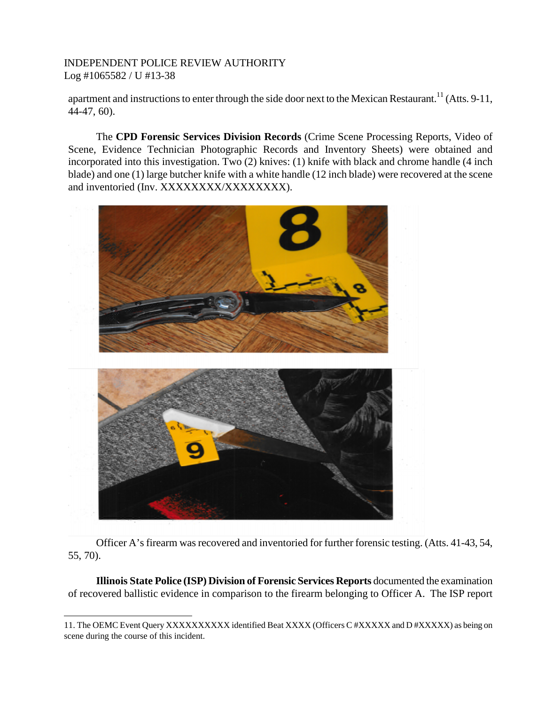apartment and instructions to enter through the side door next to the Mexican Restaurant.<sup>11</sup> [\(](#page-6-0)Atts. 9-11, 44-47, 60).

The **CPD Forensic Services Division Records** (Crime Scene Processing Reports, Video of Scene, Evidence Technician Photographic Records and Inventory Sheets) were obtained and incorporated into this investigation. Two (2) knives: (1) knife with black and chrome handle (4 inch blade) and one (1) large butcher knife with a white handle (12 inch blade) were recovered at the scene and inventoried (Inv. XXXXXXXXXXXXXXXX).



Officer A's firearm was recovered and inventoried for further forensic testing. (Atts. 41-43, 54, 55, 70).

**Illinois State Police (ISP) Division of Forensic Services Reports** documented the examination of recovered ballistic evidence in comparison to the firearm belonging to Officer A. The ISP report

<span id="page-6-0"></span><sup>11.</sup> The OEMC Event Query XXXXXXXXXX identified Beat XXXX (Officers C #XXXXX and D #XXXXX) as being on scene during the course of this incident.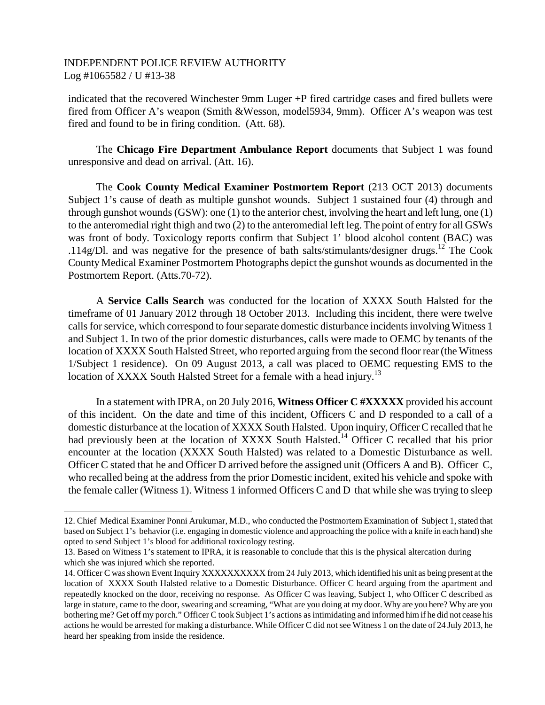indicated that the recovered Winchester 9mm Luger +P fired cartridge cases and fired bullets were fired from Officer A's weapon (Smith &Wesson, model5934, 9mm). Officer A's weapon was test fired and found to be in firing condition. (Att. 68).

The **Chicago Fire Department Ambulance Report** documents that Subject 1 was found unresponsive and dead on arrival. (Att. 16).

The **Cook County Medical Examiner Postmortem Report** (213 OCT 2013) documents Subject 1's cause of death as multiple gunshot wounds. Subject 1 sustained four (4) through and through gunshot wounds (GSW): one (1) to the anterior chest, involving the heart and left lung, one (1) to the anteromedial right thigh and two (2) to the anteromedial left leg. The point of entry for all GSWs was front of body. Toxicology reports confirm that Subject 1' blood alcohol content (BAC) was .114g/Dl. and was negative for the presence of bath salts/stimulants/designer drugs.<sup>[12](#page-7-0)</sup> The Cook County Medical Examiner Postmortem Photographs depict the gunshot wounds as documented in the Postmortem Report. (Atts.70-72).

A **Service Calls Search** was conducted for the location of XXXX South Halsted for the timeframe of 01 January 2012 through 18 October 2013. Including this incident, there were twelve calls for service, which correspond to four separate domestic disturbance incidents involving Witness 1 and Subject 1. In two of the prior domestic disturbances, calls were made to OEMC by tenants of the location of XXXX South Halsted Street, who reported arguing from the second floor rear (the Witness 1/Subject 1 residence). On 09 August 2013, a call was placed to OEMC requesting EMS to the location of XXXX South Halsted Street for a female with a head injury.<sup>1[3](#page-7-1)</sup>

In a statement with IPRA, on 20 July 2016, **Witness Officer C #XXXXX** provided his account of this incident. On the date and time of this incident, Officers C and D responded to a call of a domestic disturbance at the location of XXXX South Halsted. Upon inquiry, Officer C recalled that he had previously been at the location of XXXX South Halsted.<sup>[14](#page-7-2)</sup> Officer C recalled that his prior encounter at the location (XXXX South Halsted) was related to a Domestic Disturbance as well. Officer C stated that he and Officer D arrived before the assigned unit (Officers A and B). Officer C, who recalled being at the address from the prior Domestic incident, exited his vehicle and spoke with the female caller (Witness 1). Witness 1 informed Officers C and D that while she was trying to sleep

<span id="page-7-0"></span><sup>12.</sup> Chief Medical Examiner Ponni Arukumar, M.D., who conducted the Postmortem Examination of Subject 1, stated that based on Subject 1's behavior (i.e. engaging in domestic violence and approaching the police with a knife in each hand) she opted to send Subject 1's blood for additional toxicology testing.

<span id="page-7-1"></span><sup>13.</sup> Based on Witness 1's statement to IPRA, it is reasonable to conclude that this is the physical altercation during which she was injured which she reported.

<span id="page-7-2"></span><sup>14.</sup> Officer C was shown Event Inquiry XXXXXXXXXX from 24 July 2013, which identified his unit as being present at the location of XXXX South Halsted relative to a Domestic Disturbance. Officer C heard arguing from the apartment and repeatedly knocked on the door, receiving no response. As Officer C was leaving, Subject 1, who Officer C described as large in stature, came to the door, swearing and screaming, "What are you doing at my door. Why are you here? Why are you bothering me? Get off my porch." Officer C took Subject 1's actions as intimidating and informed him if he did not cease his actions he would be arrested for making a disturbance. While Officer C did not see Witness 1 on the date of 24 July 2013, he heard her speaking from inside the residence.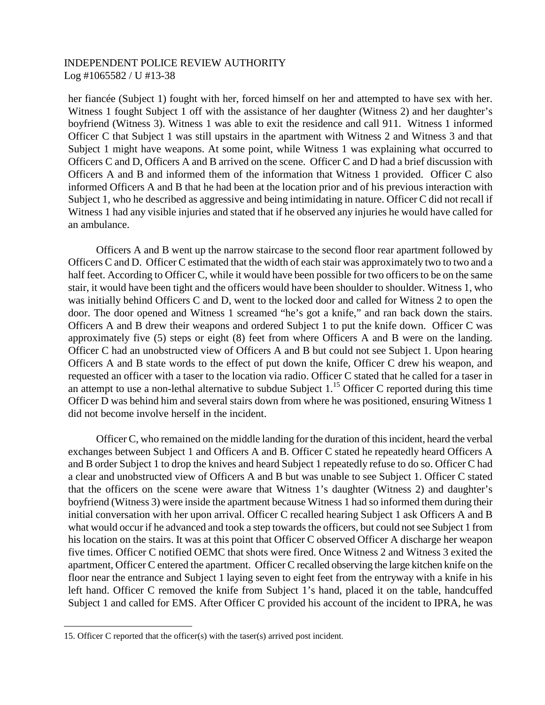her fiancée (Subject 1) fought with her, forced himself on her and attempted to have sex with her. Witness 1 fought Subject 1 off with the assistance of her daughter (Witness 2) and her daughter's boyfriend (Witness 3). Witness 1 was able to exit the residence and call 911. Witness 1 informed Officer C that Subject 1 was still upstairs in the apartment with Witness 2 and Witness 3 and that Subject 1 might have weapons. At some point, while Witness 1 was explaining what occurred to Officers C and D, Officers A and B arrived on the scene. Officer C and D had a brief discussion with Officers A and B and informed them of the information that Witness 1 provided. Officer C also informed Officers A and B that he had been at the location prior and of his previous interaction with Subject 1, who he described as aggressive and being intimidating in nature. Officer C did not recall if Witness 1 had any visible injuries and stated that if he observed any injuries he would have called for an ambulance.

Officers A and B went up the narrow staircase to the second floor rear apartment followed by Officers C and D. Officer C estimated that the width of each stair was approximately two to two and a half feet. According to Officer C, while it would have been possible for two officers to be on the same stair, it would have been tight and the officers would have been shoulder to shoulder. Witness 1, who was initially behind Officers C and D, went to the locked door and called for Witness 2 to open the door. The door opened and Witness 1 screamed "he's got a knife," and ran back down the stairs. Officers A and B drew their weapons and ordered Subject 1 to put the knife down. Officer C was approximately five (5) steps or eight (8) feet from where Officers A and B were on the landing. Officer C had an unobstructed view of Officers A and B but could not see Subject 1. Upon hearing Officers A and B state words to the effect of put down the knife, Officer C drew his weapon, and requested an officer with a taser to the location via radio. Officer C stated that he called for a taser in anattempt to use a non-lethal alternative to subdue Subject 1[.](#page-8-0)<sup>15</sup> Officer C reported during this time Officer D was behind him and several stairs down from where he was positioned, ensuring Witness 1 did not become involve herself in the incident.

Officer C, who remained on the middle landing for the duration of this incident, heard the verbal exchanges between Subject 1 and Officers A and B. Officer C stated he repeatedly heard Officers A and B order Subject 1 to drop the knives and heard Subject 1 repeatedly refuse to do so. Officer C had a clear and unobstructed view of Officers A and B but was unable to see Subject 1. Officer C stated that the officers on the scene were aware that Witness 1's daughter (Witness 2) and daughter's boyfriend (Witness 3) were inside the apartment because Witness 1 had so informed them during their initial conversation with her upon arrival. Officer C recalled hearing Subject 1 ask Officers A and B what would occur if he advanced and took a step towards the officers, but could not see Subject 1 from his location on the stairs. It was at this point that Officer C observed Officer A discharge her weapon five times. Officer C notified OEMC that shots were fired. Once Witness 2 and Witness 3 exited the apartment, Officer C entered the apartment. Officer C recalled observing the large kitchen knife on the floor near the entrance and Subject 1 laying seven to eight feet from the entryway with a knife in his left hand. Officer C removed the knife from Subject 1's hand, placed it on the table, handcuffed Subject 1 and called for EMS. After Officer C provided his account of the incident to IPRA, he was

<span id="page-8-0"></span><sup>15.</sup> Officer C reported that the officer(s) with the taser(s) arrived post incident.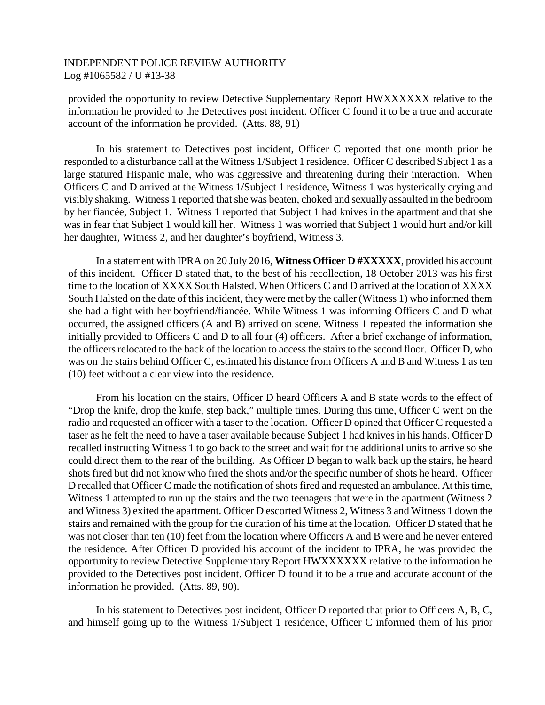provided the opportunity to review Detective Supplementary Report HWXXXXXX relative to the information he provided to the Detectives post incident. Officer C found it to be a true and accurate account of the information he provided. (Atts. 88, 91)

In his statement to Detectives post incident, Officer C reported that one month prior he responded to a disturbance call at the Witness 1/Subject 1 residence. Officer C described Subject 1 as a large statured Hispanic male, who was aggressive and threatening during their interaction. When Officers C and D arrived at the Witness 1/Subject 1 residence, Witness 1 was hysterically crying and visibly shaking. Witness 1 reported that she was beaten, choked and sexually assaulted in the bedroom by her fiancée, Subject 1. Witness 1 reported that Subject 1 had knives in the apartment and that she was in fear that Subject 1 would kill her. Witness 1 was worried that Subject 1 would hurt and/or kill her daughter, Witness 2, and her daughter's boyfriend, Witness 3.

In a statement with IPRA on 20 July 2016, **Witness Officer D #XXXXX**, provided his account of this incident. Officer D stated that, to the best of his recollection, 18 October 2013 was his first time to the location of XXXX South Halsted. When Officers C and D arrived at the location of XXXX South Halsted on the date of this incident, they were met by the caller (Witness 1) who informed them she had a fight with her boyfriend/fiancée. While Witness 1 was informing Officers C and D what occurred, the assigned officers (A and B) arrived on scene. Witness 1 repeated the information she initially provided to Officers C and D to all four (4) officers. After a brief exchange of information, the officers relocated to the back of the location to access the stairs to the second floor. Officer D, who was on the stairs behind Officer C, estimated his distance from Officers A and B and Witness 1 as ten (10) feet without a clear view into the residence.

From his location on the stairs, Officer D heard Officers A and B state words to the effect of "Drop the knife, drop the knife, step back," multiple times. During this time, Officer C went on the radio and requested an officer with a taser to the location. Officer D opined that Officer C requested a taser as he felt the need to have a taser available because Subject 1 had knives in his hands. Officer D recalled instructing Witness 1 to go back to the street and wait for the additional units to arrive so she could direct them to the rear of the building. As Officer D began to walk back up the stairs, he heard shots fired but did not know who fired the shots and/or the specific number of shots he heard. Officer D recalled that Officer C made the notification of shots fired and requested an ambulance. At this time, Witness 1 attempted to run up the stairs and the two teenagers that were in the apartment (Witness 2 and Witness 3) exited the apartment. Officer D escorted Witness 2, Witness 3 and Witness 1 down the stairs and remained with the group for the duration of his time at the location. Officer D stated that he was not closer than ten (10) feet from the location where Officers A and B were and he never entered the residence. After Officer D provided his account of the incident to IPRA, he was provided the opportunity to review Detective Supplementary Report HWXXXXXX relative to the information he provided to the Detectives post incident. Officer D found it to be a true and accurate account of the information he provided. (Atts. 89, 90).

In his statement to Detectives post incident, Officer D reported that prior to Officers A, B, C, and himself going up to the Witness 1/Subject 1 residence, Officer C informed them of his prior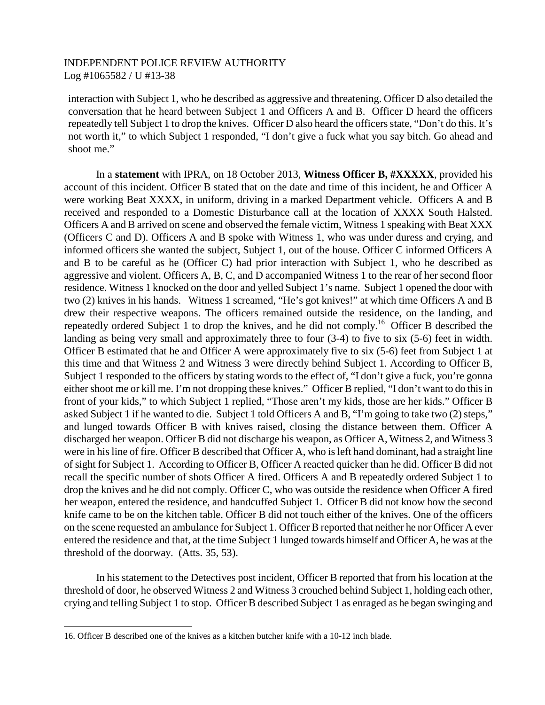interaction with Subject 1, who he described as aggressive and threatening. Officer D also detailed the conversation that he heard between Subject 1 and Officers A and B. Officer D heard the officers repeatedly tell Subject 1 to drop the knives. Officer D also heard the officers state, "Don't do this. It's not worth it," to which Subject 1 responded, "I don't give a fuck what you say bitch. Go ahead and shoot me."

In a **statement** with IPRA, on 18 October 2013, **Witness Officer B, #XXXXX**, provided his account of this incident. Officer B stated that on the date and time of this incident, he and Officer A were working Beat XXXX, in uniform, driving in a marked Department vehicle. Officers A and B received and responded to a Domestic Disturbance call at the location of XXXX South Halsted. Officers A and B arrived on scene and observed the female victim, Witness 1 speaking with Beat XXX (Officers C and D). Officers A and B spoke with Witness 1, who was under duress and crying, and informed officers she wanted the subject, Subject 1, out of the house. Officer C informed Officers A and B to be careful as he (Officer C) had prior interaction with Subject 1, who he described as aggressive and violent. Officers A, B, C, and D accompanied Witness 1 to the rear of her second floor residence. Witness 1 knocked on the door and yelled Subject 1's name. Subject 1 opened the door with two (2) knives in his hands. Witness 1 screamed, "He's got knives!" at which time Officers A and B drew their respective weapons. The officers remained outside the residence, on the landing, and repeatedly ordered Subject 1 to drop the knives, and he did not comply.[16](#page-10-0) Officer B described the landing as being very small and approximately three to four (3-4) to five to six (5-6) feet in width. Officer B estimated that he and Officer A were approximately five to six (5-6) feet from Subject 1 at this time and that Witness 2 and Witness 3 were directly behind Subject 1. According to Officer B, Subject 1 responded to the officers by stating words to the effect of, "I don't give a fuck, you're gonna either shoot me or kill me. I'm not dropping these knives." Officer B replied, "I don't want to do this in front of your kids," to which Subject 1 replied, "Those aren't my kids, those are her kids." Officer B asked Subject 1 if he wanted to die. Subject 1 told Officers A and B, "I'm going to take two (2) steps," and lunged towards Officer B with knives raised, closing the distance between them. Officer A discharged her weapon. Officer B did not discharge his weapon, as Officer A, Witness 2, and Witness 3 were in his line of fire. Officer B described that Officer A, who is left hand dominant, had a straight line of sight for Subject 1. According to Officer B, Officer A reacted quicker than he did. Officer B did not recall the specific number of shots Officer A fired. Officers A and B repeatedly ordered Subject 1 to drop the knives and he did not comply. Officer C, who was outside the residence when Officer A fired her weapon, entered the residence, and handcuffed Subject 1. Officer B did not know how the second knife came to be on the kitchen table. Officer B did not touch either of the knives. One of the officers on the scene requested an ambulance for Subject 1. Officer B reported that neither he nor Officer A ever entered the residence and that, at the time Subject 1 lunged towards himself and Officer A, he was at the threshold of the doorway. (Atts. 35, 53).

In his statement to the Detectives post incident, Officer B reported that from his location at the threshold of door, he observed Witness 2 and Witness 3 crouched behind Subject 1, holding each other, crying and telling Subject 1 to stop. Officer B described Subject 1 as enraged as he began swinging and

<span id="page-10-0"></span><sup>16.</sup> Officer B described one of the knives as a kitchen butcher knife with a 10-12 inch blade.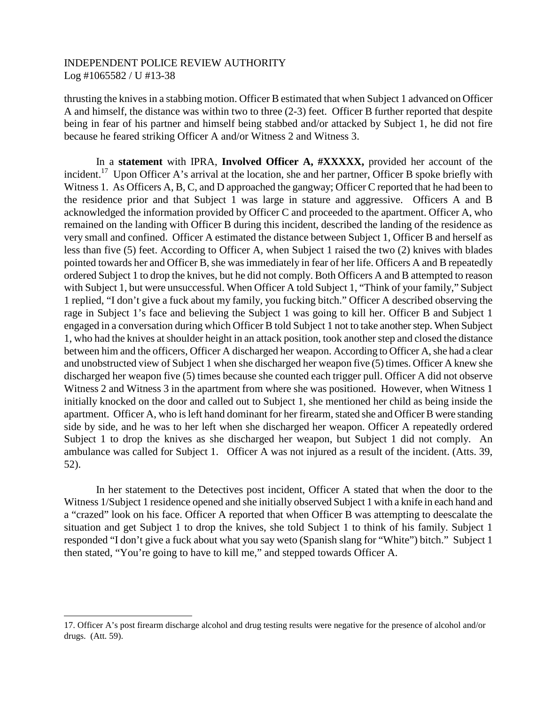thrusting the knives in a stabbing motion. Officer B estimated that when Subject 1 advanced on Officer A and himself, the distance was within two to three (2-3) feet. Officer B further reported that despite being in fear of his partner and himself being stabbed and/or attacked by Subject 1, he did not fire because he feared striking Officer A and/or Witness 2 and Witness 3.

In a **statement** with IPRA, **Involved Officer A, #XXXXX,** provided her account of the incident.<sup>[17](#page-11-0)</sup> Upon Officer A's arrival at the location, she and her partner, Officer B spoke briefly with Witness 1. As Officers A, B, C, and D approached the gangway; Officer C reported that he had been to the residence prior and that Subject 1 was large in stature and aggressive. Officers A and B acknowledged the information provided by Officer C and proceeded to the apartment. Officer A, who remained on the landing with Officer B during this incident, described the landing of the residence as very small and confined. Officer A estimated the distance between Subject 1, Officer B and herself as less than five (5) feet. According to Officer A, when Subject 1 raised the two (2) knives with blades pointed towards her and Officer B, she was immediately in fear of her life. Officers A and B repeatedly ordered Subject 1 to drop the knives, but he did not comply. Both Officers A and B attempted to reason with Subject 1, but were unsuccessful. When Officer A told Subject 1, "Think of your family," Subject 1 replied, "I don't give a fuck about my family, you fucking bitch." Officer A described observing the rage in Subject 1's face and believing the Subject 1 was going to kill her. Officer B and Subject 1 engaged in a conversation during which Officer B told Subject 1 not to take another step. When Subject 1, who had the knives at shoulder height in an attack position, took another step and closed the distance between him and the officers, Officer A discharged her weapon. According to Officer A, she had a clear and unobstructed view of Subject 1 when she discharged her weapon five (5) times. Officer A knew she discharged her weapon five (5) times because she counted each trigger pull. Officer A did not observe Witness 2 and Witness 3 in the apartment from where she was positioned. However, when Witness 1 initially knocked on the door and called out to Subject 1, she mentioned her child as being inside the apartment. Officer A, who is left hand dominant for her firearm, stated she and Officer B were standing side by side, and he was to her left when she discharged her weapon. Officer A repeatedly ordered Subject 1 to drop the knives as she discharged her weapon, but Subject 1 did not comply. An ambulance was called for Subject 1. Officer A was not injured as a result of the incident. (Atts. 39, 52).

In her statement to the Detectives post incident, Officer A stated that when the door to the Witness 1/Subject 1 residence opened and she initially observed Subject 1 with a knife in each hand and a "crazed" look on his face. Officer A reported that when Officer B was attempting to deescalate the situation and get Subject 1 to drop the knives, she told Subject 1 to think of his family. Subject 1 responded "I don't give a fuck about what you say weto (Spanish slang for "White") bitch." Subject 1 then stated, "You're going to have to kill me," and stepped towards Officer A.

<span id="page-11-0"></span><sup>17.</sup> Officer A's post firearm discharge alcohol and drug testing results were negative for the presence of alcohol and/or drugs. (Att. 59).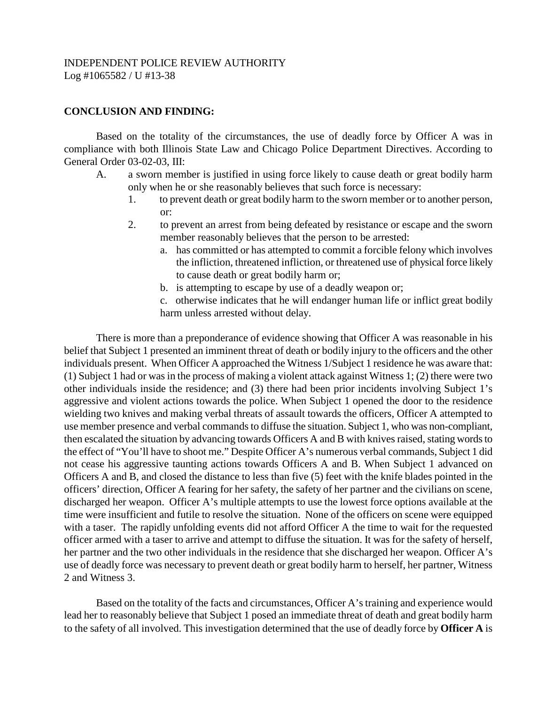# **CONCLUSION AND FINDING:**

Based on the totality of the circumstances, the use of deadly force by Officer A was in compliance with both Illinois State Law and Chicago Police Department Directives. According to General Order 03-02-03, III:

- A. a sworn member is justified in using force likely to cause death or great bodily harm only when he or she reasonably believes that such force is necessary:
	- 1. to prevent death or great bodily harm to the sworn member or to another person, or:
	- 2. to prevent an arrest from being defeated by resistance or escape and the sworn member reasonably believes that the person to be arrested:
		- a. has committed or has attempted to commit a forcible felony which involves the infliction, threatened infliction, or threatened use of physical force likely to cause death or great bodily harm or;
		- b. is attempting to escape by use of a deadly weapon or;
		- c. otherwise indicates that he will endanger human life or inflict great bodily harm unless arrested without delay.

There is more than a preponderance of evidence showing that Officer A was reasonable in his belief that Subject 1 presented an imminent threat of death or bodily injury to the officers and the other individuals present. When Officer A approached the Witness 1/Subject 1 residence he was aware that: (1) Subject 1 had or was in the process of making a violent attack against Witness 1; (2) there were two other individuals inside the residence; and (3) there had been prior incidents involving Subject 1's aggressive and violent actions towards the police. When Subject 1 opened the door to the residence wielding two knives and making verbal threats of assault towards the officers, Officer A attempted to use member presence and verbal commands to diffuse the situation. Subject 1, who was non-compliant, then escalated the situation by advancing towards Officers A and B with knives raised, stating words to the effect of "You'll have to shoot me." Despite Officer A's numerous verbal commands, Subject 1 did not cease his aggressive taunting actions towards Officers A and B. When Subject 1 advanced on Officers A and B, and closed the distance to less than five (5) feet with the knife blades pointed in the officers' direction, Officer A fearing for her safety, the safety of her partner and the civilians on scene, discharged her weapon. Officer A's multiple attempts to use the lowest force options available at the time were insufficient and futile to resolve the situation. None of the officers on scene were equipped with a taser. The rapidly unfolding events did not afford Officer A the time to wait for the requested officer armed with a taser to arrive and attempt to diffuse the situation. It was for the safety of herself, her partner and the two other individuals in the residence that she discharged her weapon. Officer A's use of deadly force was necessary to prevent death or great bodily harm to herself, her partner, Witness 2 and Witness 3.

Based on the totality of the facts and circumstances, Officer A's training and experience would lead her to reasonably believe that Subject 1 posed an immediate threat of death and great bodily harm to the safety of all involved. This investigation determined that the use of deadly force by **Officer A** is